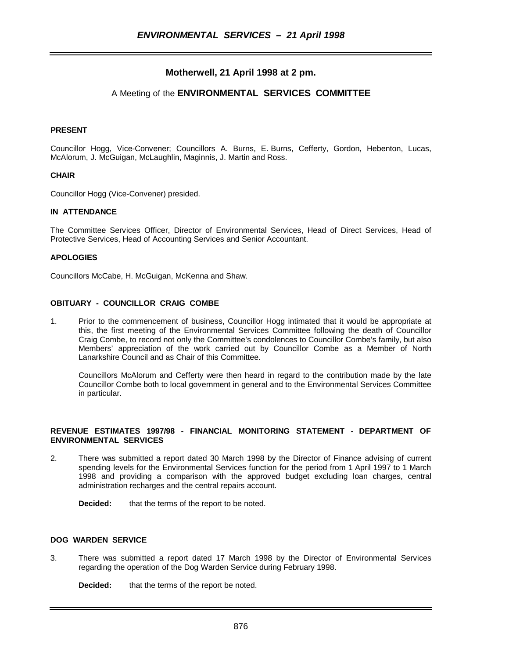# **Motherwell, 21 April 1998 at 2 pm.**

# A Meeting of the **ENVIRONMENTAL SERVICES COMMITTEE**

### **PRESENT**

Councillor Hogg, Vice-Convener; Councillors A. Burns, E. Burns, Cefferty, Gordon, Hebenton, Lucas, McAlorum, J. McGuigan, McLaughlin, Maginnis, J. Martin and Ross.

### **CHAIR**

Councillor Hogg (Vice-Convener) presided.

## **IN ATTENDANCE**

The Committee Services Officer, Director of Environmental Services, Head of Direct Services, Head of Protective Services, Head of Accounting Services and Senior Accountant.

### **APOLOGIES**

Councillors McCabe, H. McGuigan, McKenna and Shaw.

### **OBITUARY - COUNCILLOR CRAIG COMBE**

1. Prior to the commencement of business, Councillor Hogg intimated that it would be appropriate at this, the first meeting of the Environmental Services Committee following the death of Councillor Craig Combe, to record not only the Committee's condolences to Councillor Combe's family, but also Members' appreciation of the work carried out by Councillor Combe as a Member of North Lanarkshire Council and as Chair of this Committee.

Councillors McAlorum and Cefferty were then heard in regard to the contribution made by the late Councillor Combe both to local government in general and to the Environmental Services Committee in particular.

## **REVENUE ESTIMATES 1997/98 - FINANCIAL MONITORING STATEMENT - DEPARTMENT OF ENVIRONMENTAL SERVICES**

2. There was submitted a report dated 30 March 1998 by the Director of Finance advising of current spending levels for the Environmental Services function for the period from 1 April 1997 to 1 March 1998 and providing a comparison with the approved budget excluding loan charges, central administration recharges and the central repairs account.

**Decided:** that the terms of the report to be noted.

### **DOG WARDEN SERVICE**

3. There was submitted a report dated 17 March 1998 by the Director of Environmental Services regarding the operation of the Dog Warden Service during February 1998.

**Decided:** that the terms of the report be noted.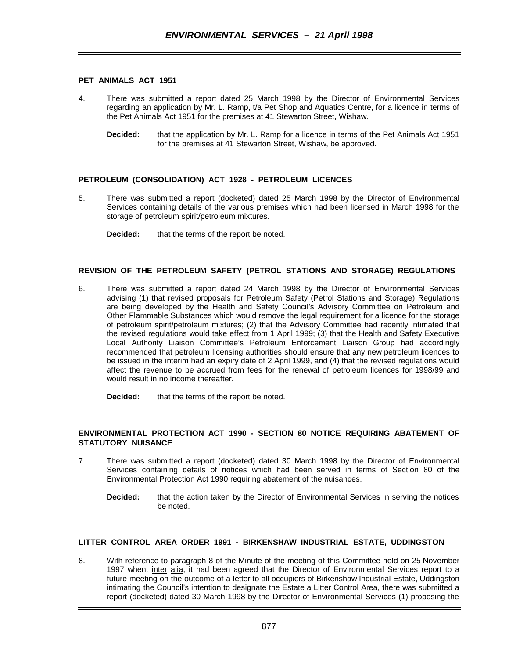### **PET ANIMALS ACT 1951**

- 4. There was submitted a report dated 25 March 1998 by the Director of Environmental Services regarding an application by Mr. L. Ramp, t/a Pet Shop and Aquatics Centre, for a licence in terms of the Pet Animals Act 1951 for the premises at 41 Stewarton Street, Wishaw.
	- **Decided:** that the application by Mr. L. Ramp for a licence in terms of the Pet Animals Act 1951 for the premises at 41 Stewarton Street, Wishaw, be approved.

# **PETROLEUM (CONSOLIDATION) ACT 1928 - PETROLEUM LICENCES**

- 5. There was submitted a report (docketed) dated 25 March 1998 by the Director of Environmental Services containing details of the various premises which had been licensed in March 1998 for the storage of petroleum spirit/petroleum mixtures.
	- **Decided:** that the terms of the report be noted.

# **REVISION OF THE PETROLEUM SAFETY (PETROL STATIONS AND STORAGE) REGULATIONS**

6. There was submitted a report dated 24 March 1998 by the Director of Environmental Services advising (1) that revised proposals for Petroleum Safety (Petrol Stations and Storage) Regulations are being developed by the Health and Safety Council's Advisory Committee on Petroleum and Other Flammable Substances which would remove the legal requirement for a licence for the storage of petroleum spirit/petroleum mixtures; (2) that the Advisory Committee had recently intimated that the revised regulations would take effect from 1 April 1999; (3) that the Health and Safety Executive Local Authority Liaison Committee's Petroleum Enforcement Liaison Group had accordingly recommended that petroleum licensing authorities should ensure that any new petroleum licences to be issued in the interim had an expiry date of 2 April 1999, and (4) that the revised regulations would affect the revenue to be accrued from fees for the renewal of petroleum licences for 1998/99 and would result in no income thereafter.

**Decided:** that the terms of the report be noted.

### **ENVIRONMENTAL PROTECTION ACT 1990 - SECTION 80 NOTICE REQUIRING ABATEMENT OF STATUTORY NUISANCE**

- 7. There was submitted a report (docketed) dated 30 March 1998 by the Director of Environmental Services containing details of notices which had been served in terms of Section 80 of the Environmental Protection Act 1990 requiring abatement of the nuisances.
	- **Decided:** that the action taken by the Director of Environmental Services in serving the notices be noted.

# **LITTER CONTROL AREA ORDER 1991 - BIRKENSHAW INDUSTRIAL ESTATE, UDDINGSTON**

8. With reference to paragraph 8 of the Minute of the meeting of this Committee held on 25 November 1997 when, inter alia, it had been agreed that the Director of Environmental Services report to a future meeting on the outcome of a letter to all occupiers of Birkenshaw Industrial Estate, Uddingston intimating the Council's intention to designate the Estate a Litter Control Area, there was submitted a report (docketed) dated 30 March 1998 by the Director of Environmental Services (1) proposing the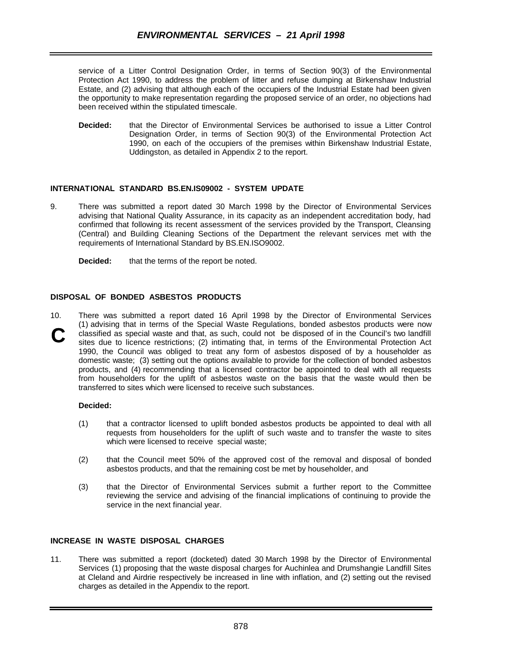service of a Litter Control Designation Order, in terms of Section 90(3) of the Environmental Protection Act 1990, to address the problem of litter and refuse dumping at Birkenshaw Industrial Estate, and (2) advising that although each of the occupiers of the Industrial Estate had been given the opportunity to make representation regarding the proposed service of an order, no objections had been received within the stipulated timescale.

**Decided:** that the Director of Environmental Services be authorised to issue a Litter Control Designation Order, in terms of Section 90(3) of the Environmental Protection Act 1990, on each of the occupiers of the premises within Birkenshaw Industrial Estate, Uddingston, as detailed in Appendix 2 to the report.

# **INTERNATIONAL STANDARD BS.EN.IS09002 - SYSTEM UPDATE**

- 9. There was submitted a report dated 30 March 1998 by the Director of Environmental Services advising that National Quality Assurance, in its capacity as an independent accreditation body, had confirmed that following its recent assessment of the services provided by the Transport, Cleansing (Central) and Building Cleaning Sections of the Department the relevant services met with the requirements of International Standard by BS.EN.ISO9002.
	- **Decided:** that the terms of the report be noted.

# **DISPOSAL OF BONDED ASBESTOS PRODUCTS**

10. There was submitted a report dated 16 April 1998 by the Director of Environmental Services (1) advising that in terms of the Special Waste Regulations, bonded asbestos products were now classified as special waste and that, as such, could not be disposed of in the Council's two landfill sites due to licence restrictions; (2) intimating that, in terms of the Environmental Protection Act 1990, the Council was obliged to treat any form of asbestos disposed of by a householder as domestic waste; (3) setting out the options available to provide for the collection of bonded asbestos products, and (4) recommending that a licensed contractor be appointed to deal with all requests from householders for the uplift of asbestos waste on the basis that the waste would then be transferred to sites which were licensed to receive such substances. **C**

# **Decided:**

- (1) that a contractor licensed to uplift bonded asbestos products be appointed to deal with all requests from householders for the uplift of such waste and to transfer the waste to sites which were licensed to receive special waste;
- (2) that the Council meet 50% of the approved cost of the removal and disposal of bonded asbestos products, and that the remaining cost be met by householder, and
- (3) that the Director of Environmental Services submit a further report to the Committee reviewing the service and advising of the financial implications of continuing to provide the service in the next financial year.

# **INCREASE IN WASTE DISPOSAL CHARGES**

11. There was submitted a report (docketed) dated 30 March 1998 by the Director of Environmental Services (1) proposing that the waste disposal charges for Auchinlea and Drumshangie Landfill Sites at Cleland and Airdrie respectively be increased in line with inflation, and (2) setting out the revised charges as detailed in the Appendix to the report.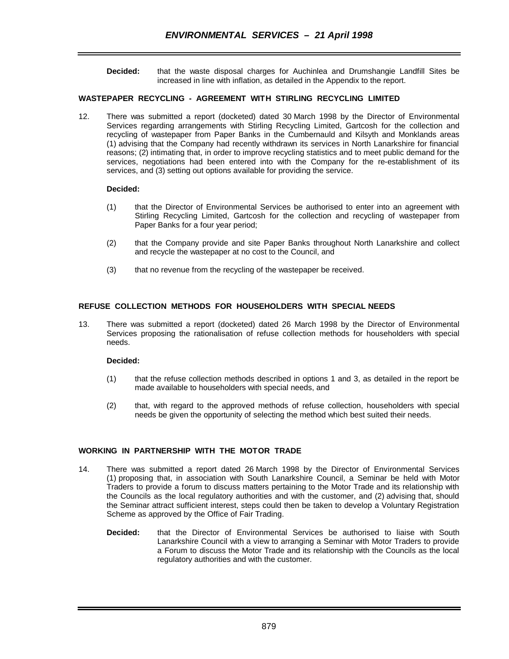**Decided:** that the waste disposal charges for Auchinlea and Drumshangie Landfill Sites be increased in line with inflation, as detailed in the Appendix to the report.

# **WASTEPAPER RECYCLING - AGREEMENT WITH STIRLING RECYCLING LIMITED**

12. There was submitted a report (docketed) dated 30 March 1998 by the Director of Environmental Services regarding arrangements with Stirling Recycling Limited, Gartcosh for the collection and recycling of wastepaper from Paper Banks in the Cumbernauld and Kilsyth and Monklands areas (1) advising that the Company had recently withdrawn its services in North Lanarkshire for financial reasons; (2) intimating that, in order to improve recycling statistics and to meet public demand for the services, negotiations had been entered into with the Company for the re-establishment of its services, and (3) setting out options available for providing the service.

### **Decided:**

- (1) that the Director of Environmental Services be authorised to enter into an agreement with Stirling Recycling Limited, Gartcosh for the collection and recycling of wastepaper from Paper Banks for a four year period;
- (2) that the Company provide and site Paper Banks throughout North Lanarkshire and collect and recycle the wastepaper at no cost to the Council, and
- (3) that no revenue from the recycling of the wastepaper be received.

# **REFUSE COLLECTION METHODS FOR HOUSEHOLDERS WITH SPECIAL NEEDS**

13. There was submitted a report (docketed) dated 26 March 1998 by the Director of Environmental Services proposing the rationalisation of refuse collection methods for householders with special needs.

### **Decided:**

- (1) that the refuse collection methods described in options 1 and 3, as detailed in the report be made available to householders with special needs, and
- (2) that, with regard to the approved methods of refuse collection, householders with special needs be given the opportunity of selecting the method which best suited their needs.

# **WORKING IN PARTNERSHIP WITH THE MOTOR TRADE**

- 14. There was submitted a report dated 26 March 1998 by the Director of Environmental Services (1) proposing that, in association with South Lanarkshire Council, a Seminar be held with Motor Traders to provide a forum to discuss matters pertaining to the Motor Trade and its relationship with the Councils as the local regulatory authorities and with the customer, and (2) advising that, should the Seminar attract sufficient interest, steps could then be taken to develop a Voluntary Registration Scheme as approved by the Office of Fair Trading.
	- **Decided:** that the Director of Environmental Services be authorised to liaise with South Lanarkshire Council with a view to arranging a Seminar with Motor Traders to provide a Forum to discuss the Motor Trade and its relationship with the Councils as the local regulatory authorities and with the customer.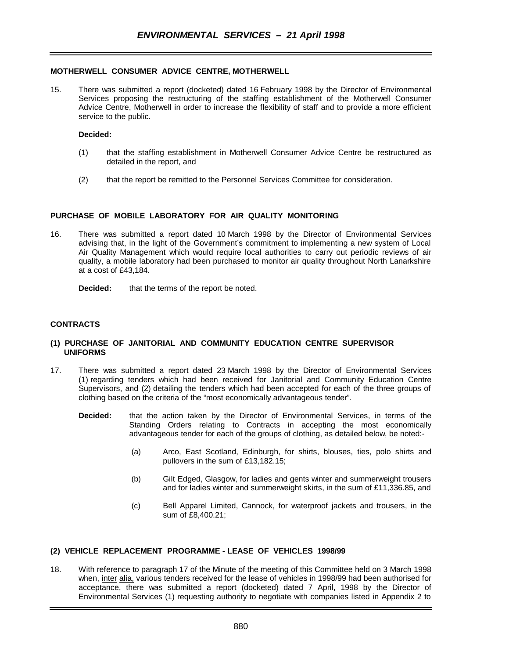### **MOTHERWELL CONSUMER ADVICE CENTRE, MOTHERWELL**

15. There was submitted a report (docketed) dated 16 February 1998 by the Director of Environmental Services proposing the restructuring of the staffing establishment of the Motherwell Consumer Advice Centre, Motherwell in order to increase the flexibility of staff and to provide a more efficient service to the public.

#### **Decided:**

- (1) that the staffing establishment in Motherwell Consumer Advice Centre be restructured as detailed in the report, and
- (2) that the report be remitted to the Personnel Services Committee for consideration.

### **PURCHASE OF MOBILE LABORATORY FOR AIR QUALITY MONITORING**

16. There was submitted a report dated 10 March 1998 by the Director of Environmental Services advising that, in the light of the Government's commitment to implementing a new system of Local Air Quality Management which would require local authorities to carry out periodic reviews of air quality, a mobile laboratory had been purchased to monitor air quality throughout North Lanarkshire at a cost of £43,184.

**Decided:** that the terms of the report be noted.

### **CONTRACTS**

### **(1) PURCHASE OF JANITORIAL AND COMMUNITY EDUCATION CENTRE SUPERVISOR UNIFORMS**

- 17. There was submitted a report dated 23 March 1998 by the Director of Environmental Services (1) regarding tenders which had been received for Janitorial and Community Education Centre Supervisors, and (2) detailing the tenders which had been accepted for each of the three groups of clothing based on the criteria of the "most economically advantageous tender".
	- **Decided:** that the action taken by the Director of Environmental Services, in terms of the Standing Orders relating to Contracts in accepting the most economically advantageous tender for each of the groups of clothing, as detailed below, be noted:-
		- (a) Arco, East Scotland, Edinburgh, for shirts, blouses, ties, polo shirts and pullovers in the sum of £13,182.15;
		- (b) Gilt Edged, Glasgow, for ladies and gents winter and summerweight trousers and for ladies winter and summerweight skirts, in the sum of £11,336.85, and
		- (c) Bell Apparel Limited, Cannock, for waterproof jackets and trousers, in the sum of £8,400.21;

### **(2) VEHICLE REPLACEMENT PROGRAMME - LEASE OF VEHICLES 1998/99**

18. With reference to paragraph 17 of the Minute of the meeting of this Committee held on 3 March 1998 when, inter alia, various tenders received for the lease of vehicles in 1998/99 had been authorised for acceptance, there was submitted a report (docketed) dated 7 April, 1998 by the Director of Environmental Services (1) requesting authority to negotiate with companies listed in Appendix 2 to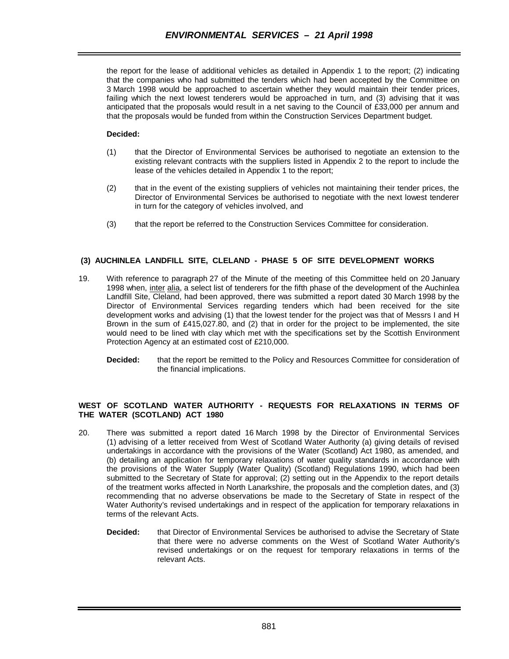the report for the lease of additional vehicles as detailed in Appendix 1 to the report; (2) indicating that the companies who had submitted the tenders which had been accepted by the Committee on 3 March 1998 would be approached to ascertain whether they would maintain their tender prices, failing which the next lowest tenderers would be approached in turn, and (3) advising that it was anticipated that the proposals would result in a net saving to the Council of £33,000 per annum and that the proposals would be funded from within the Construction Services Department budget.

# **Decided:**

- (1) that the Director of Environmental Services be authorised to negotiate an extension to the existing relevant contracts with the suppliers listed in Appendix 2 to the report to include the lease of the vehicles detailed in Appendix 1 to the report;
- (2) that in the event of the existing suppliers of vehicles not maintaining their tender prices, the Director of Environmental Services be authorised to negotiate with the next lowest tenderer in turn for the category of vehicles involved, and
- (3) that the report be referred to the Construction Services Committee for consideration.

# **(3) AUCHINLEA LANDFILL SITE, CLELAND - PHASE 5 OF SITE DEVELOPMENT WORKS**

- 19. With reference to paragraph 27 of the Minute of the meeting of this Committee held on 20 January 1998 when, inter alia, a select list of tenderers for the fifth phase of the development of the Auchinlea Landfill Site, Cleland, had been approved, there was submitted a report dated 30 March 1998 by the Director of Environmental Services regarding tenders which had been received for the site development works and advising (1) that the lowest tender for the project was that of Messrs I and H Brown in the sum of £415,027.80, and (2) that in order for the project to be implemented, the site would need to be lined with clay which met with the specifications set by the Scottish Environment Protection Agency at an estimated cost of £210,000.
	- **Decided:** that the report be remitted to the Policy and Resources Committee for consideration of the financial implications.

# **WEST OF SCOTLAND WATER AUTHORITY - REQUESTS FOR RELAXATIONS IN TERMS OF THE WATER (SCOTLAND) ACT 1980**

- 20. There was submitted a report dated 16 March 1998 by the Director of Environmental Services (1) advising of a letter received from West of Scotland Water Authority (a) giving details of revised undertakings in accordance with the provisions of the Water (Scotland) Act 1980, as amended, and (b) detailing an application for temporary relaxations of water quality standards in accordance with the provisions of the Water Supply (Water Quality) (Scotland) Regulations 1990, which had been submitted to the Secretary of State for approval; (2) setting out in the Appendix to the report details of the treatment works affected in North Lanarkshire, the proposals and the completion dates, and (3) recommending that no adverse observations be made to the Secretary of State in respect of the Water Authority's revised undertakings and in respect of the application for temporary relaxations in terms of the relevant Acts.
	- **Decided:** that Director of Environmental Services be authorised to advise the Secretary of State that there were no adverse comments on the West of Scotland Water Authority's revised undertakings or on the request for temporary relaxations in terms of the relevant Acts.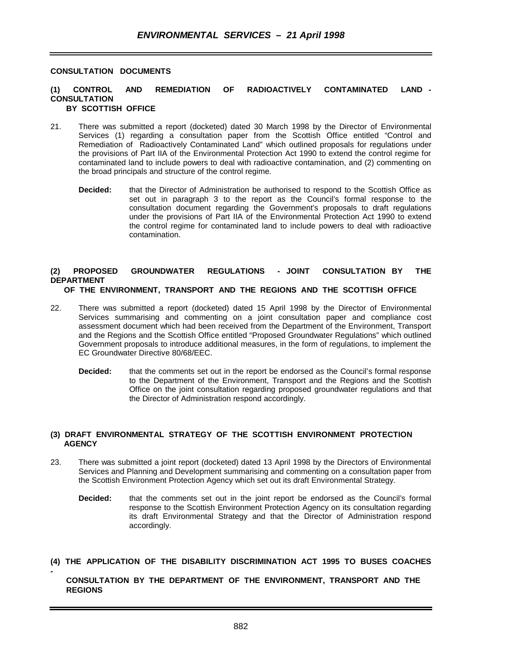# **CONSULTATION DOCUMENTS**

**-** 

#### **(1) CONTROL AND REMEDIATION OF RADIOACTIVELY CONTAMINATED LAND - CONSULTATION BY SCOTTISH OFFICE**

- 21. There was submitted a report (docketed) dated 30 March 1998 by the Director of Environmental Services (1) regarding a consultation paper from the Scottish Office entitled "Control and Remediation of Radioactively Contaminated Land" which outlined proposals for regulations under the provisions of Part IIA of the Environmental Protection Act 1990 to extend the control regime for contaminated land to include powers to deal with radioactive contamination, and (2) commenting on the broad principals and structure of the control regime.
	- **Decided:** that the Director of Administration be authorised to respond to the Scottish Office as set out in paragraph 3 to the report as the Council's formal response to the consultation document regarding the Government's proposals to draft regulations under the provisions of Part IIA of the Environmental Protection Act 1990 to extend the control regime for contaminated land to include powers to deal with radioactive contamination.

### **(2) PROPOSED GROUNDWATER REGULATIONS - JOINT CONSULTATION BY THE DEPARTMENT OF THE ENVIRONMENT, TRANSPORT AND THE REGIONS AND THE SCOTTISH OFFICE**

- 22. There was submitted a report (docketed) dated 15 April 1998 by the Director of Environmental Services summarising and commenting on a joint consultation paper and compliance cost assessment document which had been received from the Department of the Environment, Transport and the Regions and the Scottish Office entitled "Proposed Groundwater Regulations" which outlined Government proposals to introduce additional measures, in the form of regulations, to implement the EC Groundwater Directive 80/68/EEC.
	- **Decided:** that the comments set out in the report be endorsed as the Council's formal response to the Department of the Environment, Transport and the Regions and the Scottish Office on the joint consultation regarding proposed groundwater regulations and that the Director of Administration respond accordingly.

# **(3) DRAFT ENVIRONMENTAL STRATEGY OF THE SCOTTISH ENVIRONMENT PROTECTION AGENCY**

- 23. There was submitted a joint report (docketed) dated 13 April 1998 by the Directors of Environmental Services and Planning and Development summarising and commenting on a consultation paper from the Scottish Environment Protection Agency which set out its draft Environmental Strategy.
	- **Decided:** that the comments set out in the joint report be endorsed as the Council's formal response to the Scottish Environment Protection Agency on its consultation regarding its draft Environmental Strategy and that the Director of Administration respond accordingly.
- **(4) THE APPLICATION OF THE DISABILITY DISCRIMINATION ACT 1995 TO BUSES COACHES**

# **CONSULTATION BY THE DEPARTMENT OF THE ENVIRONMENT, TRANSPORT AND THE REGIONS**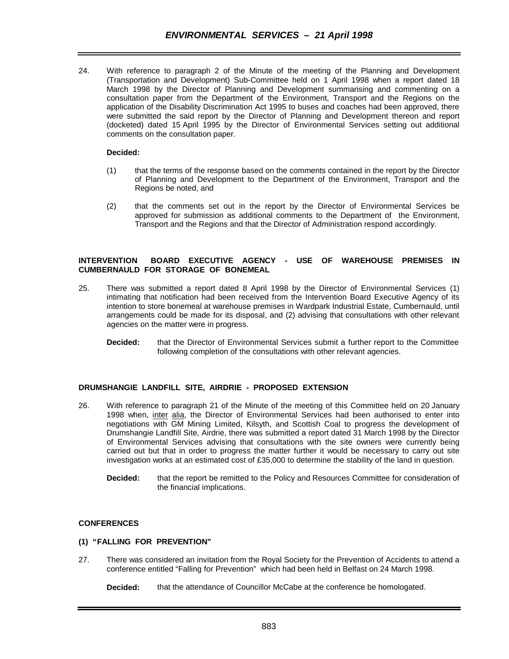24. With reference to paragraph 2 of the Minute of the meeting of the Planning and Development (Transportation and Development) Sub-Committee held on 1 April 1998 when a report dated 18 March 1998 by the Director of Planning and Development summarising and commenting on a consultation paper from the Department of the Environment, Transport and the Regions on the application of the Disability Discrimination Act 1995 to buses and coaches had been approved, there were submitted the said report by the Director of Planning and Development thereon and report (docketed) dated 15 April 1995 by the Director of Environmental Services setting out additional comments on the consultation paper.

## **Decided:**

- (1) that the terms of the response based on the comments contained in the report by the Director of Planning and Development to the Department of the Environment, Transport and the Regions be noted, and
- (2) that the comments set out in the report by the Director of Environmental Services be approved for submission as additional comments to the Department of the Environment, Transport and the Regions and that the Director of Administration respond accordingly.

## **INTERVENTION BOARD EXECUTIVE AGENCY - USE OF WAREHOUSE PREMISES IN CUMBERNAULD FOR STORAGE OF BONEMEAL**

- 25. There was submitted a report dated 8 April 1998 by the Director of Environmental Services (1) intimating that notification had been received from the Intervention Board Executive Agency of its intention to store bonemeal at warehouse premises in Wardpark Industrial Estate, Cumbernauld, until arrangements could be made for its disposal, and (2) advising that consultations with other relevant agencies on the matter were in progress.
	- **Decided:** that the Director of Environmental Services submit a further report to the Committee following completion of the consultations with other relevant agencies.

# **DRUMSHANGIE LANDFILL SITE, AIRDRIE - PROPOSED EXTENSION**

- 26. With reference to paragraph 21 of the Minute of the meeting of this Committee held on 20 January 1998 when, inter alia, the Director of Environmental Services had been authorised to enter into negotiations with GM Mining Limited, Kilsyth, and Scottish Coal to progress the development of Drumshangie Landfill Site, Airdrie, there was submitted a report dated 31 March 1998 by the Director of Environmental Services advising that consultations with the site owners were currently being carried out but that in order to progress the matter further it would be necessary to carry out site investigation works at an estimated cost of £35,000 to determine the stability of the land in question.
	- **Decided:** that the report be remitted to the Policy and Resources Committee for consideration of the financial implications.

# **CONFERENCES**

### **(1) "FALLING FOR PREVENTION"**

27. There was considered an invitation from the Royal Society for the Prevention of Accidents to attend a conference entitled "Falling for Prevention" which had been held in Belfast on 24 March 1998.

**Decided:** that the attendance of Councillor McCabe at the conference be homologated.